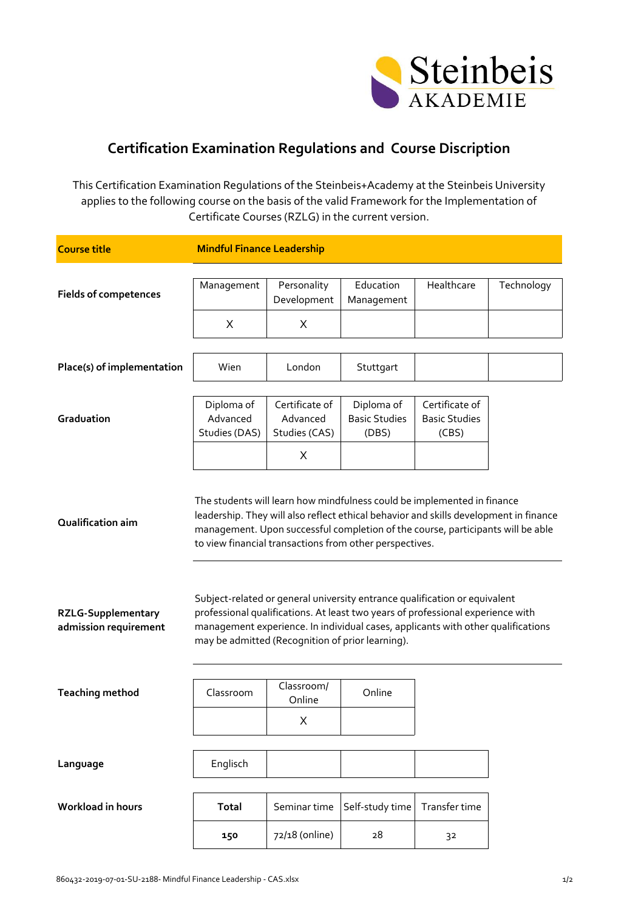

## **Certification Examination Regulations and Course Discription**

This Certification Examination Regulations of the Steinbeis+Academy at the Steinbeis University applies to the following course on the basis of the valid Framework for the Implementation of Certificate Courses (RZLG) in the current version.

| <b>Course title</b>                                                     | <b>Mindful Finance Leadership</b>                                                                                                                                                                                                                                                                                                                                                                                                                                                                                                                                                                                       |                            |                               |                               |            |  |
|-------------------------------------------------------------------------|-------------------------------------------------------------------------------------------------------------------------------------------------------------------------------------------------------------------------------------------------------------------------------------------------------------------------------------------------------------------------------------------------------------------------------------------------------------------------------------------------------------------------------------------------------------------------------------------------------------------------|----------------------------|-------------------------------|-------------------------------|------------|--|
| <b>Fields of competences</b>                                            | Management                                                                                                                                                                                                                                                                                                                                                                                                                                                                                                                                                                                                              | Personality<br>Development | Education<br>Management       | Healthcare                    | Technology |  |
|                                                                         | Χ                                                                                                                                                                                                                                                                                                                                                                                                                                                                                                                                                                                                                       | Χ                          |                               |                               |            |  |
|                                                                         |                                                                                                                                                                                                                                                                                                                                                                                                                                                                                                                                                                                                                         |                            |                               |                               |            |  |
| Place(s) of implementation                                              | Wien                                                                                                                                                                                                                                                                                                                                                                                                                                                                                                                                                                                                                    | London                     | Stuttgart                     |                               |            |  |
|                                                                         |                                                                                                                                                                                                                                                                                                                                                                                                                                                                                                                                                                                                                         |                            |                               |                               |            |  |
|                                                                         | Diploma of                                                                                                                                                                                                                                                                                                                                                                                                                                                                                                                                                                                                              | Certificate of             | Diploma of                    | Certificate of                |            |  |
| Graduation                                                              | Advanced<br>Studies (DAS)                                                                                                                                                                                                                                                                                                                                                                                                                                                                                                                                                                                               | Advanced<br>Studies (CAS)  | <b>Basic Studies</b><br>(DBS) | <b>Basic Studies</b><br>(CBS) |            |  |
|                                                                         |                                                                                                                                                                                                                                                                                                                                                                                                                                                                                                                                                                                                                         | Χ                          |                               |                               |            |  |
| Qualification aim<br><b>RZLG-Supplementary</b><br>admission requirement | The students will learn how mindfulness could be implemented in finance<br>leadership. They will also reflect ethical behavior and skills development in finance<br>management. Upon successful completion of the course, participants will be able<br>to view financial transactions from other perspectives.<br>Subject-related or general university entrance qualification or equivalent<br>professional qualifications. At least two years of professional experience with<br>management experience. In individual cases, applicants with other qualifications<br>may be admitted (Recognition of prior learning). |                            |                               |                               |            |  |
| <b>Teaching method</b>                                                  | Classroom                                                                                                                                                                                                                                                                                                                                                                                                                                                                                                                                                                                                               | Classroom/<br>Online       | Online                        |                               |            |  |
|                                                                         |                                                                                                                                                                                                                                                                                                                                                                                                                                                                                                                                                                                                                         | X                          |                               |                               |            |  |
|                                                                         |                                                                                                                                                                                                                                                                                                                                                                                                                                                                                                                                                                                                                         |                            |                               |                               |            |  |
| Language                                                                | Englisch                                                                                                                                                                                                                                                                                                                                                                                                                                                                                                                                                                                                                |                            |                               |                               |            |  |
| Workload in hours                                                       | <b>Total</b>                                                                                                                                                                                                                                                                                                                                                                                                                                                                                                                                                                                                            | Seminar time               | Self-study time               | Transfer time                 |            |  |
|                                                                         | 150                                                                                                                                                                                                                                                                                                                                                                                                                                                                                                                                                                                                                     | 72/18 (online)             | 28                            | 32                            |            |  |